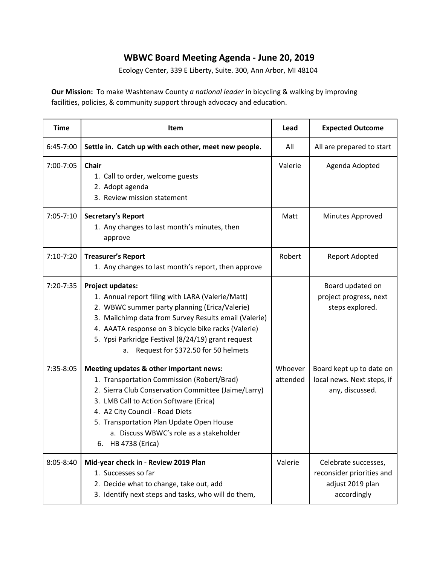## **WBWC Board Meeting Agenda - June 20, 2019**

Ecology Center, 339 E Liberty, Suite. 300, Ann Arbor, MI 48104

**Our Mission:** To make Washtenaw County *a national leader* in bicycling & walking by improving facilities, policies, & community support through advocacy and education.

| <b>Time</b>   | Item                                                                                                                                                                                                                                                                                                                                             | Lead                | <b>Expected Outcome</b>                                                              |
|---------------|--------------------------------------------------------------------------------------------------------------------------------------------------------------------------------------------------------------------------------------------------------------------------------------------------------------------------------------------------|---------------------|--------------------------------------------------------------------------------------|
| 6:45-7:00     | Settle in. Catch up with each other, meet new people.                                                                                                                                                                                                                                                                                            | All                 | All are prepared to start                                                            |
| 7:00-7:05     | <b>Chair</b><br>1. Call to order, welcome guests<br>2. Adopt agenda<br>3. Review mission statement                                                                                                                                                                                                                                               | Valerie             | Agenda Adopted                                                                       |
| $7:05 - 7:10$ | Secretary's Report<br>1. Any changes to last month's minutes, then<br>approve                                                                                                                                                                                                                                                                    | Matt                | Minutes Approved                                                                     |
| $7:10-7:20$   | <b>Treasurer's Report</b><br>1. Any changes to last month's report, then approve                                                                                                                                                                                                                                                                 | Robert              | Report Adopted                                                                       |
| 7:20-7:35     | <b>Project updates:</b><br>1. Annual report filing with LARA (Valerie/Matt)<br>2. WBWC summer party planning (Erica/Valerie)<br>3. Mailchimp data from Survey Results email (Valerie)<br>4. AAATA response on 3 bicycle bike racks (Valerie)<br>5. Ypsi Parkridge Festival (8/24/19) grant request<br>Request for \$372.50 for 50 helmets<br>a.  |                     | Board updated on<br>project progress, next<br>steps explored.                        |
| 7:35-8:05     | Meeting updates & other important news:<br>1. Transportation Commission (Robert/Brad)<br>2. Sierra Club Conservation Committee (Jaime/Larry)<br>3. LMB Call to Action Software (Erica)<br>4. A2 City Council - Road Diets<br>5. Transportation Plan Update Open House<br>a. Discuss WBWC's role as a stakeholder<br><b>HB 4738 (Erica)</b><br>6. | Whoever<br>attended | Board kept up to date on<br>local news. Next steps, if<br>any, discussed.            |
| 8:05-8:40     | Mid-year check in - Review 2019 Plan<br>1. Successes so far<br>2. Decide what to change, take out, add<br>3. Identify next steps and tasks, who will do them,                                                                                                                                                                                    | Valerie             | Celebrate successes,<br>reconsider priorities and<br>adjust 2019 plan<br>accordingly |